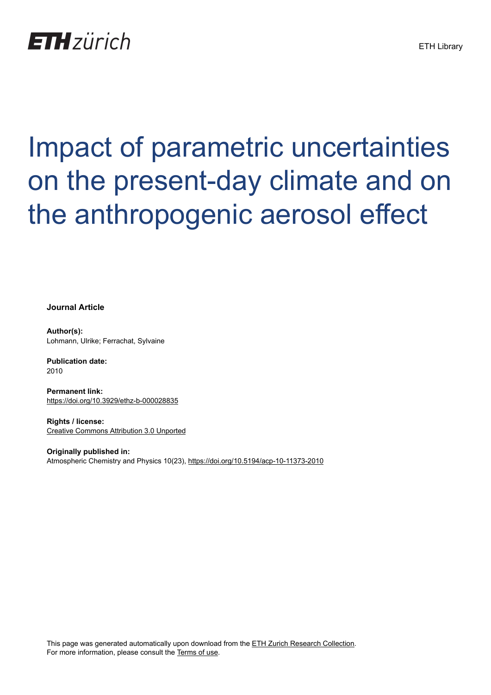## **ETH** zürich

# Impact of parametric uncertainties on the present-day climate and on the anthropogenic aerosol effect

**Journal Article**

**Author(s):** Lohmann, Ulrike; Ferrachat, Sylvaine

**Publication date:** 2010

**Permanent link:** <https://doi.org/10.3929/ethz-b-000028835>

**Rights / license:** [Creative Commons Attribution 3.0 Unported](http://creativecommons.org/licenses/by/3.0/)

**Originally published in:** Atmospheric Chemistry and Physics 10(23),<https://doi.org/10.5194/acp-10-11373-2010>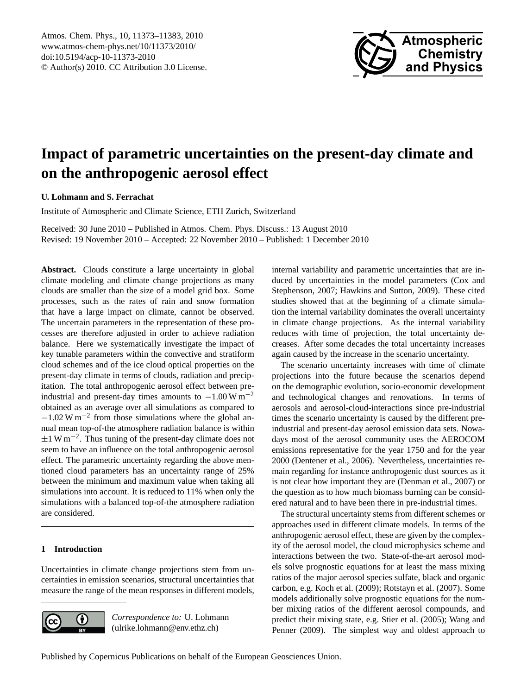

### <span id="page-1-0"></span>**Impact of parametric uncertainties on the present-day climate and on the anthropogenic aerosol effect**

**U. Lohmann and S. Ferrachat**

Institute of Atmospheric and Climate Science, ETH Zurich, Switzerland

Received: 30 June 2010 – Published in Atmos. Chem. Phys. Discuss.: 13 August 2010 Revised: 19 November 2010 – Accepted: 22 November 2010 – Published: 1 December 2010

Abstract. Clouds constitute a large uncertainty in global climate modeling and climate change projections as many clouds are smaller than the size of a model grid box. Some processes, such as the rates of rain and snow formation that have a large impact on climate, cannot be observed. The uncertain parameters in the representation of these processes are therefore adjusted in order to achieve radiation balance. Here we systematically investigate the impact of key tunable parameters within the convective and stratiform cloud schemes and of the ice cloud optical properties on the present-day climate in terms of clouds, radiation and precipitation. The total anthropogenic aerosol effect between preindustrial and present-day times amounts to  $-1.00 \,\mathrm{W m^{-2}}$ obtained as an average over all simulations as compared to −1.02 W m−<sup>2</sup> from those simulations where the global annual mean top-of-the atmosphere radiation balance is within ±1 W m−<sup>2</sup> . Thus tuning of the present-day climate does not seem to have an influence on the total anthropogenic aerosol effect. The parametric uncertainty regarding the above mentioned cloud parameters has an uncertainty range of 25% between the minimum and maximum value when taking all simulations into account. It is reduced to 11% when only the simulations with a balanced top-of-the atmosphere radiation are considered.

#### **1 Introduction**

Uncertainties in climate change projections stem from uncertainties in emission scenarios, structural uncertainties that measure the range of the mean responses in different models,



*Correspondence to:* U. Lohmann (ulrike.lohmann@env.ethz.ch)

internal variability and parametric uncertainties that are induced by uncertainties in the model parameters [\(Cox and](#page-9-0) [Stephenson,](#page-9-0) [2007;](#page-9-0) [Hawkins and Sutton,](#page-10-0) [2009\)](#page-10-0). These cited studies showed that at the beginning of a climate simulation the internal variability dominates the overall uncertainty in climate change projections. As the internal variability reduces with time of projection, the total uncertainty decreases. After some decades the total uncertainty increases again caused by the increase in the scenario uncertainty.

The scenario uncertainty increases with time of climate projections into the future because the scenarios depend on the demographic evolution, socio-economic development and technological changes and renovations. In terms of aerosols and aerosol-cloud-interactions since pre-industrial times the scenario uncertainty is caused by the different preindustrial and present-day aerosol emission data sets. Nowadays most of the aerosol community uses the AEROCOM emissions representative for the year 1750 and for the year 2000 [\(Dentener et al.,](#page-9-1) [2006\)](#page-9-1). Nevertheless, uncertainties remain regarding for instance anthropogenic dust sources as it is not clear how important they are [\(Denman et al.,](#page-9-2) [2007\)](#page-9-2) or the question as to how much biomass burning can be considered natural and to have been there in pre-industrial times.

The structural uncertainty stems from different schemes or approaches used in different climate models. In terms of the anthropogenic aerosol effect, these are given by the complexity of the aerosol model, the cloud microphysics scheme and interactions between the two. State-of-the-art aerosol models solve prognostic equations for at least the mass mixing ratios of the major aerosol species sulfate, black and organic carbon, e.g. [Koch et al.](#page-10-1) [\(2009\)](#page-10-1); [Rotstayn et al.](#page-11-0) [\(2007\)](#page-11-0). Some models additionally solve prognostic equations for the number mixing ratios of the different aerosol compounds, and predict their mixing state, e.g. [Stier et al.](#page-11-1) [\(2005\)](#page-11-1); [Wang and](#page-11-2) [Penner](#page-11-2) [\(2009\)](#page-11-2). The simplest way and oldest approach to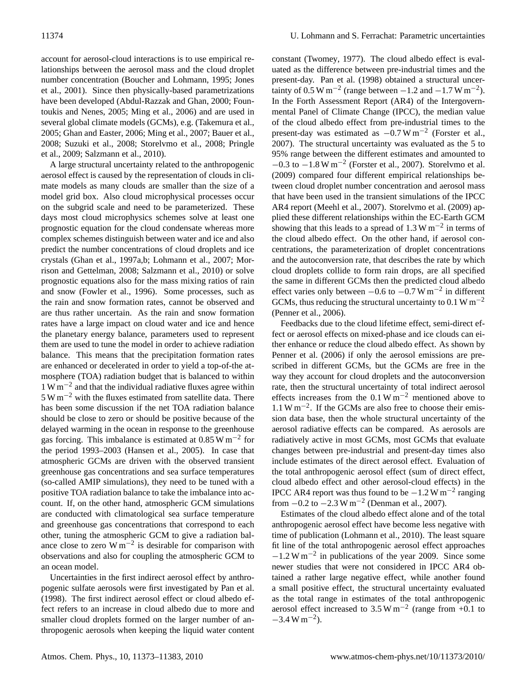account for aerosol-cloud interactions is to use empirical relationships between the aerosol mass and the cloud droplet number concentration [\(Boucher and Lohmann,](#page-9-3) [1995;](#page-9-3) [Jones](#page-10-2) [et al.,](#page-10-2) [2001\)](#page-10-2). Since then physically-based parametrizations have been developed [\(Abdul-Razzak and Ghan,](#page-9-4) [2000;](#page-9-4) [Foun](#page-10-3)[toukis and Nenes,](#page-10-3) [2005;](#page-10-3) [Ming et al.,](#page-10-4) [2006\)](#page-10-4) and are used in several global climate models (GCMs), e.g. [\(Takemura et al.,](#page-11-3) [2005;](#page-11-3) [Ghan and Easter,](#page-10-5) [2006;](#page-10-5) [Ming et al.,](#page-10-6) [2007;](#page-10-6) [Bauer et al.,](#page-9-5) [2008;](#page-9-5) [Suzuki et al.,](#page-11-4) [2008;](#page-11-4) [Storelvmo et al.,](#page-11-5) [2008;](#page-11-5) [Pringle](#page-11-6) [et al.,](#page-11-6) [2009;](#page-11-6) [Salzmann et al.,](#page-11-7) [2010\)](#page-11-7).

A large structural uncertainty related to the anthropogenic aerosol effect is caused by the representation of clouds in climate models as many clouds are smaller than the size of a model grid box. Also cloud microphysical processes occur on the subgrid scale and need to be parameterized. These days most cloud microphysics schemes solve at least one prognostic equation for the cloud condensate whereas more complex schemes distinguish between water and ice and also predict the number concentrations of cloud droplets and ice crystals [\(Ghan et al.,](#page-10-7) [1997a](#page-10-7)[,b;](#page-10-8) [Lohmann et al.,](#page-10-9) [2007;](#page-10-9) [Mor](#page-10-10)[rison and Gettelman,](#page-10-10) [2008;](#page-10-10) [Salzmann et al.,](#page-11-7) [2010\)](#page-11-7) or solve prognostic equations also for the mass mixing ratios of rain and snow [\(Fowler et al.,](#page-10-11) [1996\)](#page-10-11). Some processes, such as the rain and snow formation rates, cannot be observed and are thus rather uncertain. As the rain and snow formation rates have a large impact on cloud water and ice and hence the planetary energy balance, parameters used to represent them are used to tune the model in order to achieve radiation balance. This means that the precipitation formation rates are enhanced or decelerated in order to yield a top-of-the atmosphere (TOA) radiation budget that is balanced to within 1 W m−<sup>2</sup> and that the individual radiative fluxes agree within 5 W m−<sup>2</sup> with the fluxes estimated from satellite data. There has been some discussion if the net TOA radiation balance should be close to zero or should be positive because of the delayed warming in the ocean in response to the greenhouse gas forcing. This imbalance is estimated at 0.85 W m<sup>-2</sup> for the period 1993–2003 [\(Hansen et al.,](#page-10-12) [2005\)](#page-10-12). In case that atmospheric GCMs are driven with the observed transient greenhouse gas concentrations and sea surface temperatures (so-called AMIP simulations), they need to be tuned with a positive TOA radiation balance to take the imbalance into account. If, on the other hand, atmospheric GCM simulations are conducted with climatological sea surface temperature and greenhouse gas concentrations that correspond to each other, tuning the atmospheric GCM to give a radiation balance close to zero W  $m^{-2}$  is desirable for comparison with observations and also for coupling the atmospheric GCM to an ocean model.

Uncertainties in the first indirect aerosol effect by anthropogenic sulfate aerosols were first investigated by [Pan et al.](#page-11-8) [\(1998\)](#page-11-8). The first indirect aerosol effect or cloud albedo effect refers to an increase in cloud albedo due to more and smaller cloud droplets formed on the larger number of anthropogenic aerosols when keeping the liquid water content constant [\(Twomey,](#page-11-9) [1977\)](#page-11-9). The cloud albedo effect is evaluated as the difference between pre-industrial times and the present-day. [Pan et al.](#page-11-8) [\(1998\)](#page-11-8) obtained a structural uncertainty of 0.5 W m<sup>-2</sup> (range between  $-1.2$  and  $-1.7$  W m<sup>-2</sup>). In the Forth Assessment Report (AR4) of the Intergovernmental Panel of Climate Change (IPCC), the median value of the cloud albedo effect from pre-industrial times to the present-day was estimated as  $-0.7 \text{ W m}^{-2}$  [\(Forster et al.,](#page-9-6) [2007\)](#page-9-6). The structural uncertainty was evaluated as the 5 to 95% range between the different estimates and amounted to  $-0.3$  to  $-1.8$  W m<sup>-2</sup> [\(Forster et al.,](#page-9-6) [2007\)](#page-9-6). Storelymo et al. [\(2009\)](#page-11-10) compared four different empirical relationships between cloud droplet number concentration and aerosol mass that have been used in the transient simulations of the IPCC AR4 report [\(Meehl et al.,](#page-10-13) [2007\)](#page-10-13). [Storelvmo et al.](#page-11-10) [\(2009\)](#page-11-10) applied these different relationships within the EC-Earth GCM showing that this leads to a spread of 1.3 W  $\text{m}^{-2}$  in terms of the cloud albedo effect. On the other hand, if aerosol concentrations, the parameterization of droplet concentrations and the autoconversion rate, that describes the rate by which cloud droplets collide to form rain drops, are all specified the same in different GCMs then the predicted cloud albedo effect varies only between  $-0.6$  to  $-0.7$  W m<sup>-2</sup> in different GCMs, thus reducing the structural uncertainty to  $0.1 \text{ W m}^{-2}$ [\(Penner et al.,](#page-11-11) [2006\)](#page-11-11).

Feedbacks due to the cloud lifetime effect, semi-direct effect or aerosol effects on mixed-phase and ice clouds can either enhance or reduce the cloud albedo effect. As shown by [Penner et al.](#page-11-11) [\(2006\)](#page-11-11) if only the aerosol emissions are prescribed in different GCMs, but the GCMs are free in the way they account for cloud droplets and the autoconversion rate, then the structural uncertainty of total indirect aerosol effects increases from the  $0.1 W m^{-2}$  mentioned above to 1.1 W m−<sup>2</sup> . If the GCMs are also free to choose their emission data base, then the whole structural uncertainty of the aerosol radiative effects can be compared. As aerosols are radiatively active in most GCMs, most GCMs that evaluate changes between pre-industrial and present-day times also include estimates of the direct aerosol effect. Evaluation of the total anthropogenic aerosol effect (sum of direct effect, cloud albedo effect and other aerosol-cloud effects) in the IPCC AR4 report was thus found to be  $-1.2$  W m<sup>-2</sup> ranging from  $-0.2$  to  $-2.3$  W m<sup>-2</sup> [\(Denman et al.,](#page-9-2) [2007\)](#page-9-2).

Estimates of the cloud albedo effect alone and of the total anthropogenic aerosol effect have become less negative with time of publication [\(Lohmann et al.,](#page-10-14) [2010\)](#page-10-14). The least square fit line of the total anthropogenic aerosol effect approaches −1.2 W m−<sup>2</sup> in publications of the year 2009. Since some newer studies that were not considered in IPCC AR4 obtained a rather large negative effect, while another found a small positive effect, the structural uncertainty evaluated as the total range in estimates of the total anthropogenic aerosol effect increased to  $3.5 \text{ W m}^{-2}$  (range from +0.1 to  $-3.4 \,\mathrm{W m^{-2}}$ ).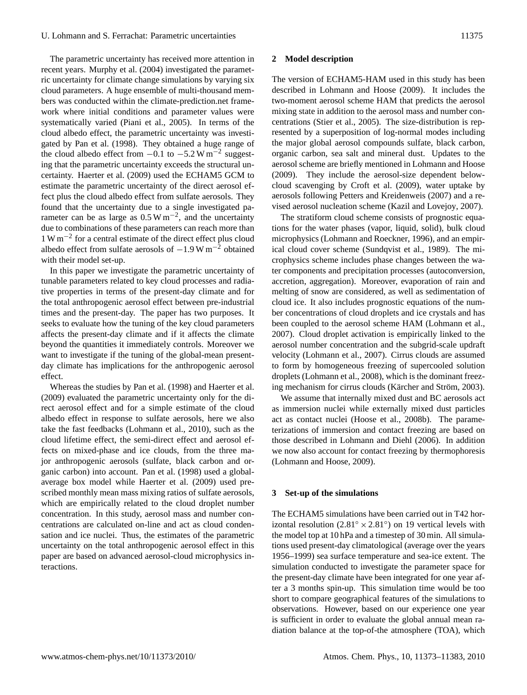The parametric uncertainty has received more attention in recent years. [Murphy et al.](#page-10-15) [\(2004\)](#page-10-15) investigated the parametric uncertainty for climate change simulations by varying six cloud parameters. A huge ensemble of multi-thousand members was conducted within the climate-prediction.net framework where initial conditions and parameter values were systematically varied [\(Piani et al.,](#page-11-12) [2005\)](#page-11-12). In terms of the cloud albedo effect, the parametric uncertainty was investigated by [Pan et al.](#page-11-8) [\(1998\)](#page-11-8). They obtained a huge range of the cloud albedo effect from  $-0.1$  to  $-5.2$  W m<sup>-2</sup> suggesting that the parametric uncertainty exceeds the structural uncertainty. [Haerter et al.](#page-10-16) [\(2009\)](#page-10-16) used the ECHAM5 GCM to estimate the parametric uncertainty of the direct aerosol effect plus the cloud albedo effect from sulfate aerosols. They found that the uncertainty due to a single investigated parameter can be as large as  $0.5 \text{ W m}^{-2}$ , and the uncertainty due to combinations of these parameters can reach more than 1 W m−<sup>2</sup> for a central estimate of the direct effect plus cloud albedo effect from sulfate aerosols of  $-1.9 \,\mathrm{W/m}^{-2}$  obtained with their model set-up.

In this paper we investigate the parametric uncertainty of tunable parameters related to key cloud processes and radiative properties in terms of the present-day climate and for the total anthropogenic aerosol effect between pre-industrial times and the present-day. The paper has two purposes. It seeks to evaluate how the tuning of the key cloud parameters affects the present-day climate and if it affects the climate beyond the quantities it immediately controls. Moreover we want to investigate if the tuning of the global-mean presentday climate has implications for the anthropogenic aerosol effect.

Whereas the studies by [Pan et al.](#page-11-8) [\(1998\)](#page-11-8) and [Haerter et al.](#page-10-16) [\(2009\)](#page-10-16) evaluated the parametric uncertainty only for the direct aerosol effect and for a simple estimate of the cloud albedo effect in response to sulfate aerosols, here we also take the fast feedbacks [\(Lohmann et al.,](#page-10-14) [2010\)](#page-10-14), such as the cloud lifetime effect, the semi-direct effect and aerosol effects on mixed-phase and ice clouds, from the three major anthropogenic aerosols (sulfate, black carbon and organic carbon) into account. [Pan et al.](#page-11-8) [\(1998\)](#page-11-8) used a globalaverage box model while [Haerter et al.](#page-10-16) [\(2009\)](#page-10-16) used prescribed monthly mean mass mixing ratios of sulfate aerosols, which are empirically related to the cloud droplet number concentration. In this study, aerosol mass and number concentrations are calculated on-line and act as cloud condensation and ice nuclei. Thus, the estimates of the parametric uncertainty on the total anthropogenic aerosol effect in this paper are based on advanced aerosol-cloud microphysics interactions.

#### **2 Model description**

The version of ECHAM5-HAM used in this study has been described in [Lohmann and Hoose](#page-10-17) [\(2009\)](#page-10-17). It includes the two-moment aerosol scheme HAM that predicts the aerosol mixing state in addition to the aerosol mass and number concentrations [\(Stier et al.,](#page-11-1) [2005\)](#page-11-1). The size-distribution is represented by a superposition of log-normal modes including the major global aerosol compounds sulfate, black carbon, organic carbon, sea salt and mineral dust. Updates to the aerosol scheme are briefly mentioned in [Lohmann and Hoose](#page-10-17) [\(2009\)](#page-10-17). They include the aerosol-size dependent belowcloud scavenging by [Croft et al.](#page-9-7) [\(2009\)](#page-9-7), water uptake by aerosols following [Petters and Kreidenweis](#page-11-13) [\(2007\)](#page-11-13) and a revised aerosol nucleation scheme [\(Kazil and Lovejoy,](#page-10-18) [2007\)](#page-10-18).

The stratiform cloud scheme consists of prognostic equations for the water phases (vapor, liquid, solid), bulk cloud microphysics [\(Lohmann and Roeckner,](#page-10-19) [1996\)](#page-10-19), and an empirical cloud cover scheme [\(Sundqvist et al.,](#page-11-14) [1989\)](#page-11-14). The microphysics scheme includes phase changes between the water components and precipitation processes (autoconversion, accretion, aggregation). Moreover, evaporation of rain and melting of snow are considered, as well as sedimentation of cloud ice. It also includes prognostic equations of the number concentrations of cloud droplets and ice crystals and has been coupled to the aerosol scheme HAM [\(Lohmann et al.,](#page-10-9) [2007\)](#page-10-9). Cloud droplet activation is empirically linked to the aerosol number concentration and the subgrid-scale updraft velocity [\(Lohmann et al.,](#page-10-9) [2007\)](#page-10-9). Cirrus clouds are assumed to form by homogeneous freezing of supercooled solution droplets [\(Lohmann et al.,](#page-10-20) [2008\)](#page-10-20), which is the dominant freez-ing mechanism for cirrus clouds (Kärcher and Ström, [2003\)](#page-10-21).

We assume that internally mixed dust and BC aerosols act as immersion nuclei while externally mixed dust particles act as contact nuclei [\(Hoose et al.,](#page-10-22) [2008b\)](#page-10-22). The parameterizations of immersion and contact freezing are based on those described in [Lohmann and Diehl](#page-10-23) [\(2006\)](#page-10-23). In addition we now also account for contact freezing by thermophoresis [\(Lohmann and Hoose,](#page-10-17) [2009\)](#page-10-17).

#### **3 Set-up of the simulations**

The ECHAM5 simulations have been carried out in T42 horizontal resolution  $(2.81° \times 2.81°)$  on 19 vertical levels with the model top at 10 hPa and a timestep of 30 min. All simulations used present-day climatological (average over the years 1956–1999) sea surface temperature and sea-ice extent. The simulation conducted to investigate the parameter space for the present-day climate have been integrated for one year after a 3 months spin-up. This simulation time would be too short to compare geographical features of the simulations to observations. However, based on our experience one year is sufficient in order to evaluate the global annual mean radiation balance at the top-of-the atmosphere (TOA), which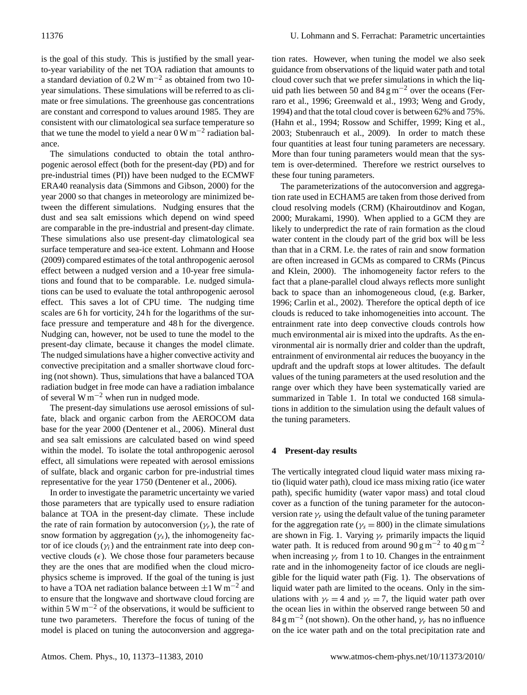is the goal of this study. This is justified by the small yearto-year variability of the net TOA radiation that amounts to a standard deviation of  $0.2 \text{ W m}^{-2}$  as obtained from two 10year simulations. These simulations will be referred to as climate or free simulations. The greenhouse gas concentrations are constant and correspond to values around 1985. They are consistent with our climatological sea surface temperature so that we tune the model to yield a near  $0 \text{ W m}^{-2}$  radiation balance.

The simulations conducted to obtain the total anthropogenic aerosol effect (both for the present-day (PD) and for pre-industrial times (PI)) have been nudged to the ECMWF ERA40 reanalysis data [\(Simmons and Gibson,](#page-11-15) [2000\)](#page-11-15) for the year 2000 so that changes in meteorology are minimized between the different simulations. Nudging ensures that the dust and sea salt emissions which depend on wind speed are comparable in the pre-industrial and present-day climate. These simulations also use present-day climatological sea surface temperature and sea-ice extent. [Lohmann and Hoose](#page-10-17) [\(2009\)](#page-10-17) compared estimates of the total anthropogenic aerosol effect between a nudged version and a 10-year free simulations and found that to be comparable. I.e. nudged simulations can be used to evaluate the total anthropogenic aerosol effect. This saves a lot of CPU time. The nudging time scales are 6 h for vorticity, 24 h for the logarithms of the surface pressure and temperature and 48 h for the divergence. Nudging can, however, not be used to tune the model to the present-day climate, because it changes the model climate. The nudged simulations have a higher convective activity and convective precipitation and a smaller shortwave cloud forcing (not shown). Thus, simulations that have a balanced TOA radiation budget in free mode can have a radiation imbalance of several W m<sup> $-2$ </sup> when run in nudged mode.

The present-day simulations use aerosol emissions of sulfate, black and organic carbon from the AEROCOM data base for the year 2000 [\(Dentener et al.,](#page-9-1) [2006\)](#page-9-1). Mineral dust and sea salt emissions are calculated based on wind speed within the model. To isolate the total anthropogenic aerosol effect, all simulations were repeated with aerosol emissions of sulfate, black and organic carbon for pre-industrial times representative for the year 1750 [\(Dentener et al.,](#page-9-1) [2006\)](#page-9-1).

In order to investigate the parametric uncertainty we varied those parameters that are typically used to ensure radiation balance at TOA in the present-day climate. These include the rate of rain formation by autoconversion  $(\gamma_r)$ , the rate of snow formation by aggregation  $(\gamma_s)$ , the inhomogeneity factor of ice clouds  $(\gamma_i)$  and the entrainment rate into deep convective clouds  $(\epsilon)$ . We chose those four parameters because they are the ones that are modified when the cloud microphysics scheme is improved. If the goal of the tuning is just to have a TOA net radiation balance between  $\pm 1 \text{ W m}^{-2}$  and to ensure that the longwave and shortwave cloud forcing are within 5 W m<sup> $-2$ </sup> of the observations, it would be sufficient to tune two parameters. Therefore the focus of tuning of the model is placed on tuning the autoconversion and aggregation rates. However, when tuning the model we also seek guidance from observations of the liquid water path and total cloud cover such that we prefer simulations in which the liquid path lies between 50 and 84  $\rm g\,m^{-2}$  over the oceans [\(Fer](#page-9-8)[raro et al.,](#page-9-8) [1996;](#page-9-8) [Greenwald et al.,](#page-10-24) [1993;](#page-10-24) [Weng and Grody,](#page-11-16) [1994\)](#page-11-16) and that the total cloud cover is between 62% and 75%. [\(Hahn et al.,](#page-10-25) [1994;](#page-10-25) [Rossow and Schiffer,](#page-11-17) [1999;](#page-11-17) [King et al.,](#page-10-26) [2003;](#page-10-26) [Stubenrauch et al.,](#page-11-18) [2009\)](#page-11-18). In order to match these four quantities at least four tuning parameters are necessary. More than four tuning parameters would mean that the system is over-determined. Therefore we restrict ourselves to these four tuning parameters.

The parameterizations of the autoconversion and aggregation rate used in ECHAM5 are taken from those derived from cloud resolving models (CRM) [\(Khairoutdinov and Kogan,](#page-10-27) [2000;](#page-10-27) [Murakami,](#page-10-28) [1990\)](#page-10-28). When applied to a GCM they are likely to underpredict the rate of rain formation as the cloud water content in the cloudy part of the grid box will be less than that in a CRM. I.e. the rates of rain and snow formation are often increased in GCMs as compared to CRMs [\(Pincus](#page-11-19) [and Klein,](#page-11-19) [2000\)](#page-11-19). The inhomogeneity factor refers to the fact that a plane-parallel cloud always reflects more sunlight back to space than an inhomogeneous cloud, (e.g. [Barker,](#page-9-9) [1996;](#page-9-9) [Carlin et al.,](#page-9-10) [2002\)](#page-9-10). Therefore the optical depth of ice clouds is reduced to take inhomogeneities into account. The entrainment rate into deep convective clouds controls how much environmental air is mixed into the updrafts. As the environmental air is normally drier and colder than the updraft, entrainment of environmental air reduces the buoyancy in the updraft and the updraft stops at lower altitudes. The default values of the tuning parameters at the used resolution and the range over which they have been systematically varied are summarized in Table [1.](#page-5-0) In total we conducted 168 simulations in addition to the simulation using the default values of the tuning parameters.

#### **4 Present-day results**

The vertically integrated cloud liquid water mass mixing ratio (liquid water path), cloud ice mass mixing ratio (ice water path), specific humidity (water vapor mass) and total cloud cover as a function of the tuning parameter for the autoconversion rate  $\gamma_r$  using the default value of the tuning parameter for the aggregation rate ( $\gamma_s = 800$ ) in the climate simulations are shown in Fig. [1.](#page-5-1) Varying  $\gamma_r$  primarily impacts the liquid water path. It is reduced from around  $90 \text{ g m}^{-2}$  to  $40 \text{ g m}^{-2}$ when increasing  $\gamma_r$  from 1 to 10. Changes in the entrainment rate and in the inhomogeneity factor of ice clouds are negligible for the liquid water path (Fig. 1). The observations of liquid water path are limited to the oceans. Only in the simulations with  $\gamma_r = 4$  and  $\gamma_r = 7$ , the liquid water path over the ocean lies in within the observed range between 50 and  $84 \text{ g m}^{-2}$  (not shown). On the other hand,  $\gamma_r$  has no influence on the ice water path and on the total precipitation rate and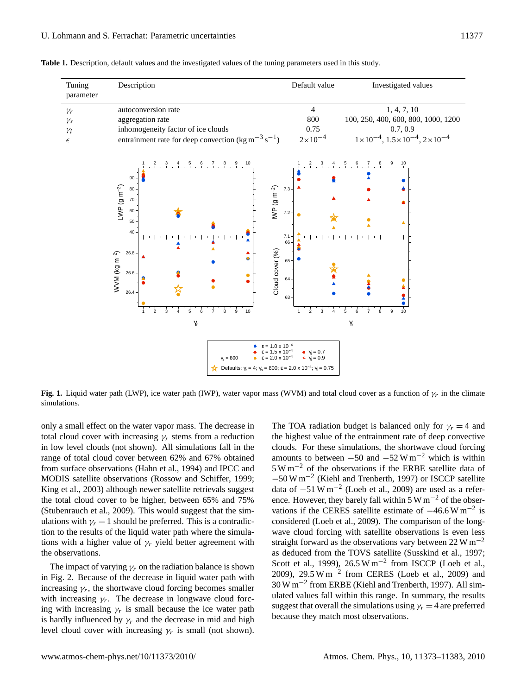<span id="page-5-0"></span>

| Tuning<br>parameter | Description                                                                | Default value      | Investigated values                                            |
|---------------------|----------------------------------------------------------------------------|--------------------|----------------------------------------------------------------|
| $\gamma_r$          | autoconversion rate                                                        | 4                  | 1, 4, 7, 10                                                    |
| $\gamma_{S}$        | aggregation rate                                                           | 800                | 100, 250, 400, 600, 800, 1000, 1200                            |
| $\gamma_i$          | inhomogeneity factor of ice clouds                                         | 0.75               | 0.7.0.9                                                        |
| $\epsilon$          | entrainment rate for deep convection (kg m <sup>-3</sup> s <sup>-1</sup> ) | $2 \times 10^{-4}$ | $1 \times 10^{-4}$ , $1.5 \times 10^{-4}$ , $2 \times 10^{-4}$ |
|                     |                                                                            |                    |                                                                |

**Table 1.** Description, default values and the investigated values of the tuning parameters used in this study.



<span id="page-5-1"></span>**Fig. 1.** Liquid water path (LWP), ice water path (IWP), water vapor mass (WVM) and total cloud cover as a function of  $\gamma_r$  in the climate simulations.

only a small effect on the water vapor mass. The decrease in total cloud cover with increasing  $\gamma_r$  stems from a reduction in low level clouds (not shown). All simulations fall in the range of total cloud cover between 62% and 67% obtained from surface observations [\(Hahn et al.,](#page-10-25) [1994\)](#page-10-25) and IPCC and MODIS satellite observations [\(Rossow and Schiffer,](#page-11-17) [1999;](#page-11-17) [King et al.,](#page-10-26) [2003\)](#page-10-26) although newer satellite retrievals suggest the total cloud cover to be higher, between 65% and 75% [\(Stubenrauch et al.,](#page-11-18) [2009\)](#page-11-18). This would suggest that the simulations with  $\gamma_r = 1$  should be preferred. This is a contradiction to the results of the liquid water path where the simulations with a higher value of  $\gamma_r$  yield better agreement with the observations.

The impact of varying  $\gamma_r$  on the radiation balance is shown in Fig. [2.](#page-6-0) Because of the decrease in liquid water path with increasing  $\gamma_r$ , the shortwave cloud forcing becomes smaller with increasing  $\gamma_r$ . The decrease in longwave cloud forcing with increasing  $\gamma_r$  is small because the ice water path is hardly influenced by  $\gamma_r$  and the decrease in mid and high level cloud cover with increasing  $\gamma_r$  is small (not shown).

The TOA radiation budget is balanced only for  $\gamma_r = 4$  and the highest value of the entrainment rate of deep convective clouds. For these simulations, the shortwave cloud forcing amounts to between  $-50$  and  $-52$  W m<sup>-2</sup> which is within 5 W m−<sup>2</sup> of the observations if the ERBE satellite data of −50 W m−<sup>2</sup> [\(Kiehl and Trenberth,](#page-10-29) [1997\)](#page-10-29) or ISCCP satellite data of  $-51 \text{ W m}^{-2}$  [\(Loeb et al.,](#page-10-30) [2009\)](#page-10-30) are used as a reference. However, they barely fall within  $5 W m^{-2}$  of the observations if the CERES satellite estimate of  $-46.6 \text{ W m}^{-2}$  is considered [\(Loeb et al.,](#page-10-30) [2009\)](#page-10-30). The comparison of the longwave cloud forcing with satellite observations is even less straight forward as the observations vary between  $22 \text{ W m}^{-2}$ as deduced from the TOVS satellite [\(Susskind et al.,](#page-11-20) [1997;](#page-11-20) [Scott et al.,](#page-11-21) [1999\)](#page-11-21),  $26.5 \text{ W m}^{-2}$  from ISCCP [\(Loeb et al.,](#page-10-30) [2009\)](#page-10-30), 29.5 W m<sup>-2</sup> from CERES [\(Loeb et al.,](#page-10-30) 2009) and 30 W m−<sup>2</sup> from ERBE [\(Kiehl and Trenberth,](#page-10-29) [1997\)](#page-10-29). All simulated values fall within this range. In summary, the results suggest that overall the simulations using  $\gamma_r = 4$  are preferred because they match most observations.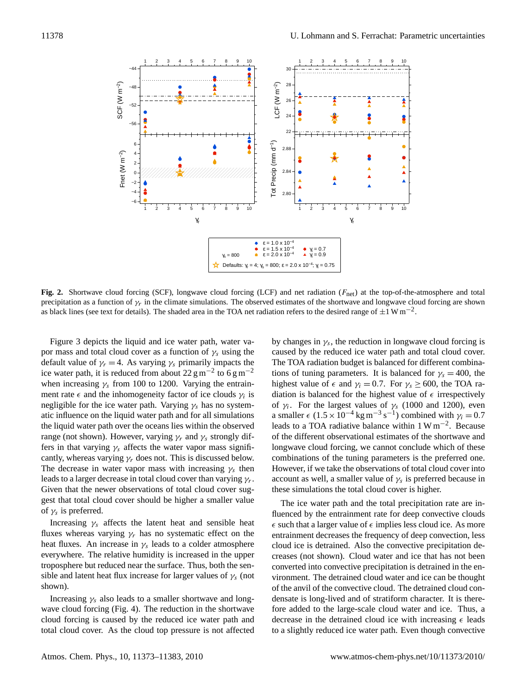

<span id="page-6-0"></span>precipitation as a function of  $\gamma_r$  in the climate simulations. The observed estimates of the shortwave and longwave cloud forcing are shown<br>as black lines (see text for datails). The shaded spea in the TOA net rediction Fig. 2. Shortwave cloud forcing (SCF), longwave cloud forcing (LCF) and net radiation (F<sub>net</sub>) at the top-of-the-atmosphere and total as black lines (see text for details). The shaded area in the TOA net radiation refers to the desired range of  $\pm 1$  W m<sup>-2</sup>.

por mass and total cloud cover as a function of  $\gamma_s$  using the caused Figure [3](#page-7-0) depicts the liquid and ice water path, water vadefault value of  $\gamma_r = 4$ . As varying  $\gamma_s$  primarily impacts the ice water path, it is reduced from about 22 g m<sup>-2</sup> to 6 g m<sup>-2</sup> when increasing  $\gamma_s$  from 100 to 1200. Varying the entrainment rate  $\epsilon$  and the inhomogeneity factor of ice clouds  $\gamma_i$  is negligible for the ice water path. Varying  $\gamma_s$  has no systematic influence on the liquid water path and for all simulations the liquid water path over the oceans lies within the observed range (not shown). However, varying  $\gamma_r$  and  $\gamma_s$  strongly differs in that varying  $\gamma_s$  affects the water vapor mass significantly, whereas varying  $\gamma_r$  does not. This is discussed below. The decrease in water vapor mass with increasing  $\gamma_s$  then leads to a larger decrease in total cloud cover than varying  $\gamma_r$ . Given that the newer observations of total cloud cover suggest that total cloud cover should be higher a smaller value of  $\gamma_s$  is preferred.

Increasing  $\gamma_s$  affects the latent heat and sensible heat fluxes whereas varying  $\gamma_r$  has no systematic effect on the heat fluxes. An increase in  $\gamma_s$  leads to a colder atmosphere everywhere. The relative humidity is increased in the upper troposphere but reduced near the surface. Thus, both the sensible and latent heat flux increase for larger values of  $\gamma_s$  (not shown).

Increasing  $\gamma_s$  also leads to a smaller shortwave and longwave cloud forcing (Fig. [4\)](#page-7-1). The reduction in the shortwave cloud forcing is caused by the reduced ice water path and total cloud cover. As the cloud top pressure is not affected

3 depicts the liquid and ice water path, water va-<br>by changes in  $\gamma_s$ , the reduction in longwave cloud forcing is . caused by the reduced ice water path and total cloud cover. The TOA radiation budget is balanced for different combinations of tuning parameters. It is balanced for  $\gamma_s = 400$ , the highest value of  $\epsilon$  and  $\gamma_i = 0.7$ . For  $\gamma_s \ge 600$ , the TOA radiation is balanced for the highest value of  $\epsilon$  irrespectively of  $\gamma_i$ . For the largest values of  $\gamma_s$  (1000 and 1200), even a smaller  $\epsilon$  (1.5 × 10<sup>-4</sup> kg m<sup>-3</sup> s<sup>-1</sup>) combined with  $\gamma_i = 0.7$ leads to a TOA radiative balance within 1 W m−<sup>2</sup> . Because of the different observational estimates of the shortwave and longwave cloud forcing, we cannot conclude which of these combinations of the tuning parameters is the preferred one. However, if we take the observations of total cloud cover into account as well, a smaller value of  $\gamma_s$  is preferred because in these simulations the total cloud cover is higher.

> The ice water path and the total precipitation rate are influenced by the entrainment rate for deep convective clouds  $\epsilon$  such that a larger value of  $\epsilon$  implies less cloud ice. As more entrainment decreases the frequency of deep convection, less cloud ice is detrained. Also the convective precipitation decreases (not shown). Cloud water and ice that has not been converted into convective precipitation is detrained in the environment. The detrained cloud water and ice can be thought of the anvil of the convective cloud. The detrained cloud condensate is long-lived and of stratiform character. It is therefore added to the large-scale cloud water and ice. Thus, a decrease in the detrained cloud ice with increasing  $\epsilon$  leads to a slightly reduced ice water path. Even though convective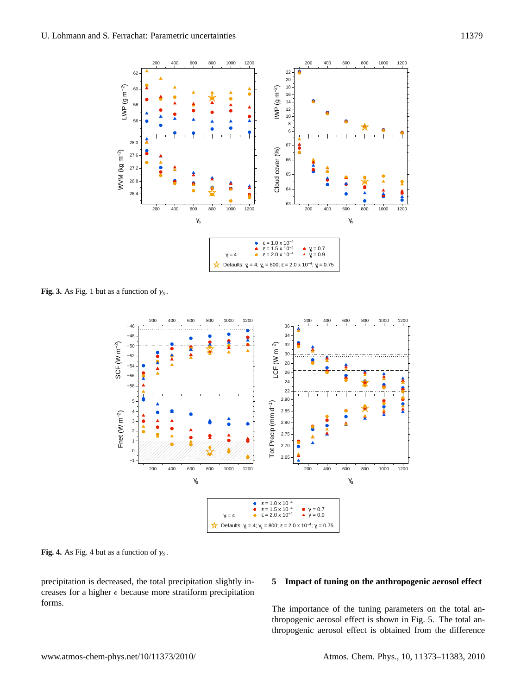

<span id="page-7-0"></span>**Fig. 3.** As Fig. [1](#page-5-1) but as a function of  $\gamma_s$ .



<span id="page-7-1"></span>**Fig. [4](#page-7-1).** As Fig. 4 but as a function of  $\gamma_s$ .

precipitation is decreased, the total precipitation slightly increases for a higher  $\epsilon$  because more stratiform precipitation forms.

#### **5 Impact of tuning on the anthropogenic aerosol effect**

thropogenic aerosol effect is obtained from the difference The importance of the tuning parameters on the total anthropogenic aerosol effect is shown in Fig. [5.](#page-8-0) The total an-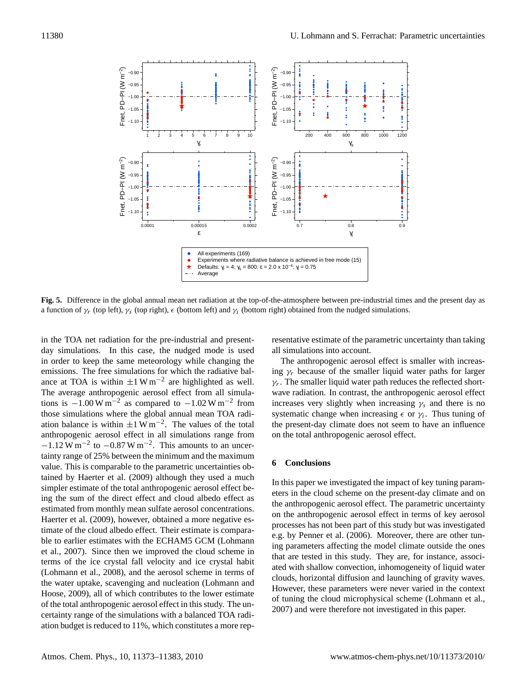

<span id="page-8-0"></span>a function of  $\gamma_r$  (top left),  $\gamma_s$  (top right),  $\epsilon$  (bottom left) and  $\gamma_i$  (bottom right) obtained from the nudged simulations. **Fig. 5.** Difference in the global annual mean net radiation at the top-of-the-atmosphere between pre-industrial times and the present day as

in the TOA net radiation for the pre-industrial and presentday simulations. In this case, the nudged mode is used in order to keep the same meteorology while changing the emissions. The free simulations for which the radiative balance at TOA is within  $\pm 1 \text{ W m}^{-2}$  are highlighted as well. The average anthropogenic aerosol effect from all simulations is  $-1.00 \text{ W m}^{-2}$  as compared to  $-1.02 \text{ W m}^{-2}$  from those simulations where the global annual mean TOA radiation balance is within  $\pm 1 \text{ W m}^{-2}$ . The values of the total anthropogenic aerosol effect in all simulations range from  $-1.12$  W m<sup>-2</sup> to  $-0.87$  W m<sup>-2</sup>. This amounts to an uncertainty range of 25% between the minimum and the maximum value. This is comparable to the parametric uncertainties obtained by [Haerter et al.](#page-10-16) [\(2009\)](#page-10-16) although they used a much simpler estimate of the total anthropogenic aerosol effect being the sum of the direct effect and cloud albedo effect as estimated from monthly mean sulfate aerosol concentrations. [Haerter et al.](#page-10-16) [\(2009\)](#page-10-16), however, obtained a more negative estimate of the cloud albedo effect. Their estimate is comparable to earlier estimates with the ECHAM5 GCM [\(Lohmann](#page-10-9) [et al.,](#page-10-9) [2007\)](#page-10-9). Since then we improved the cloud scheme in terms of the ice crystal fall velocity and ice crystal habit [\(Lohmann et al.,](#page-10-20) [2008\)](#page-10-20), and the aerosol scheme in terms of the water uptake, scavenging and nucleation [\(Lohmann and](#page-10-17) [Hoose,](#page-10-17) [2009\)](#page-10-17), all of which contributes to the lower estimate of the total anthropogenic aerosol effect in this study. The uncertainty range of the simulations with a balanced TOA radiation budget is reduced to 11%, which constitutes a more representative estimate of the parametric uncertainty than taking all simulations into account.

The anthropogenic aerosol effect is smaller with increasing  $\gamma_r$  because of the smaller liquid water paths for larger  $\gamma_r$ . The smaller liquid water path reduces the reflected shortwave radiation. In contrast, the anthropogenic aerosol effect increases very slightly when increasing  $\gamma_s$  and there is no systematic change when increasing  $\epsilon$  or  $\gamma_i$ . Thus tuning of the present-day climate does not seem to have an influence on the total anthropogenic aerosol effect.

#### **6 Conclusions**

In this paper we investigated the impact of key tuning parameters in the cloud scheme on the present-day climate and on the anthropogenic aerosol effect. The parametric uncertainty on the anthropogenic aerosol effect in terms of key aerosol processes has not been part of this study but was investigated e.g. by [Penner et al.](#page-11-11) [\(2006\)](#page-11-11). Moreover, there are other tuning parameters affecting the model climate outside the ones that are tested in this study. They are, for instance, associated with shallow convection, inhomogeneity of liquid water clouds, horizontal diffusion and launching of gravity waves. However, these parameters were never varied in the context of tuning the cloud microphysical scheme [\(Lohmann et al.,](#page-10-9) [2007\)](#page-10-9) and were therefore not investigated in this paper.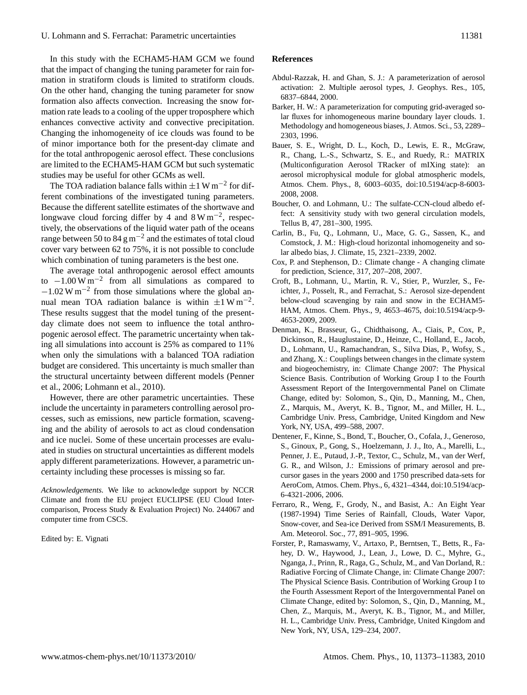In this study with the ECHAM5-HAM GCM we found that the impact of changing the tuning parameter for rain formation in stratiform clouds is limited to stratiform clouds. On the other hand, changing the tuning parameter for snow formation also affects convection. Increasing the snow formation rate leads to a cooling of the upper troposphere which enhances convective activity and convective precipitation. Changing the inhomogeneity of ice clouds was found to be of minor importance both for the present-day climate and for the total anthropogenic aerosol effect. These conclusions are limited to the ECHAM5-HAM GCM but such systematic studies may be useful for other GCMs as well.

The TOA radiation balance falls within  $\pm 1 \text{ W m}^{-2}$  for different combinations of the investigated tuning parameters. Because the different satellite estimates of the shortwave and longwave cloud forcing differ by 4 and  $8 \text{ W m}^{-2}$ , respectively, the observations of the liquid water path of the oceans range between 50 to 84 g m<sup>-2</sup> and the estimates of total cloud cover vary between 62 to 75%, it is not possible to conclude which combination of tuning parameters is the best one.

The average total anthropogenic aerosol effect amounts to  $-1.00 \,\mathrm{W\,m}^{-2}$  from all simulations as compared to  $-1.02$  W m<sup>-2</sup> from those simulations where the global annual mean TOA radiation balance is within  $\pm 1 \text{ W m}^{-2}$ . These results suggest that the model tuning of the presentday climate does not seem to influence the total anthropogenic aerosol effect. The parametric uncertainty when taking all simulations into account is 25% as compared to 11% when only the simulations with a balanced TOA radiation budget are considered. This uncertainty is much smaller than the structural uncertainty between different models [\(Penner](#page-11-11) [et al.,](#page-11-11) [2006;](#page-11-11) [Lohmann et al.,](#page-10-14) [2010\)](#page-10-14).

However, there are other parametric uncertainties. These include the uncertainty in parameters controlling aerosol processes, such as emissions, new particle formation, scavenging and the ability of aerosols to act as cloud condensation and ice nuclei. Some of these uncertain processes are evaluated in studies on structural uncertainties as different models apply different parameterizations. However, a parametric uncertainty including these processes is missing so far.

*Acknowledgements.* We like to acknowledge support by NCCR Climate and from the EU project EUCLIPSE (EU Cloud Intercomparison, Process Study & Evaluation Project) No. 244067 and computer time from CSCS.

Edited by: E. Vignati

#### **References**

- <span id="page-9-4"></span>Abdul-Razzak, H. and Ghan, S. J.: A parameterization of aerosol activation: 2. Multiple aerosol types, J. Geophys. Res., 105, 6837–6844, 2000.
- <span id="page-9-9"></span>Barker, H. W.: A parameterization for computing grid-averaged solar fluxes for inhomogeneous marine boundary layer clouds. 1. Methodology and homogeneous biases, J. Atmos. Sci., 53, 2289– 2303, 1996.
- <span id="page-9-5"></span>Bauer, S. E., Wright, D. L., Koch, D., Lewis, E. R., McGraw, R., Chang, L.-S., Schwartz, S. E., and Ruedy, R.: MATRIX (Multiconfiguration Aerosol TRacker of mIXing state): an aerosol microphysical module for global atmospheric models, Atmos. Chem. Phys., 8, 6003–6035, doi:10.5194/acp-8-6003- 2008, 2008.
- <span id="page-9-3"></span>Boucher, O. and Lohmann, U.: The sulfate-CCN-cloud albedo effect: A sensitivity study with two general circulation models, Tellus B, 47, 281–300, 1995.
- <span id="page-9-10"></span>Carlin, B., Fu, Q., Lohmann, U., Mace, G. G., Sassen, K., and Comstock, J. M.: High-cloud horizontal inhomogeneity and solar albedo bias, J. Climate, 15, 2321–2339, 2002.
- <span id="page-9-0"></span>Cox, P. and Stephenson, D.: Climate change - A changing climate for prediction, Science, 317, 207–208, 2007.
- <span id="page-9-7"></span>Croft, B., Lohmann, U., Martin, R. V., Stier, P., Wurzler, S., Feichter, J., Posselt, R., and Ferrachat, S.: Aerosol size-dependent below-cloud scavenging by rain and snow in the ECHAM5- HAM, Atmos. Chem. Phys., 9, 4653–4675, doi:10.5194/acp-9- 4653-2009, 2009.
- <span id="page-9-2"></span>Denman, K., Brasseur, G., Chidthaisong, A., Ciais, P., Cox, P., Dickinson, R., Hauglustaine, D., Heinze, C., Holland, E., Jacob, D., Lohmann, U., Ramachandran, S., Silva Dias, P., Wofsy, S., and Zhang, X.: Couplings between changes in the climate system and biogeochemistry, in: Climate Change 2007: The Physical Science Basis. Contribution of Working Group I to the Fourth Assessment Report of the Intergovernmental Panel on Climate Change, edited by: Solomon, S., Qin, D., Manning, M., Chen, Z., Marquis, M., Averyt, K. B., Tignor, M., and Miller, H. L., Cambridge Univ. Press, Cambridge, United Kingdom and New York, NY, USA, 499–588, 2007.
- <span id="page-9-1"></span>Dentener, F., Kinne, S., Bond, T., Boucher, O., Cofala, J., Generoso, S., Ginoux, P., Gong, S., Hoelzemann, J. J., Ito, A., Marelli, L., Penner, J. E., Putaud, J.-P., Textor, C., Schulz, M., van der Werf, G. R., and Wilson, J.: Emissions of primary aerosol and precursor gases in the years 2000 and 1750 prescribed data-sets for AeroCom, Atmos. Chem. Phys., 6, 4321–4344, doi:10.5194/acp-6-4321-2006, 2006.
- <span id="page-9-8"></span>Ferraro, R., Weng, F., Grody, N., and Basist, A.: An Eight Year (1987-1994) Time Series of Rainfall, Clouds, Water Vapor, Snow-cover, and Sea-ice Derived from SSM/I Measurements, B. Am. Meteorol. Soc., 77, 891–905, 1996.
- <span id="page-9-6"></span>Forster, P., Ramaswamy, V., Artaxo, P., Berntsen, T., Betts, R., Fahey, D. W., Haywood, J., Lean, J., Lowe, D. C., Myhre, G., Nganga, J., Prinn, R., Raga, G., Schulz, M., and Van Dorland, R.: Radiative Forcing of Climate Change, in: Climate Change 2007: The Physical Science Basis. Contribution of Working Group I to the Fourth Assessment Report of the Intergovernmental Panel on Climate Change, edited by: Solomon, S., Qin, D., Manning, M., Chen, Z., Marquis, M., Averyt, K. B., Tignor, M., and Miller, H. L., Cambridge Univ. Press, Cambridge, United Kingdom and New York, NY, USA, 129–234, 2007.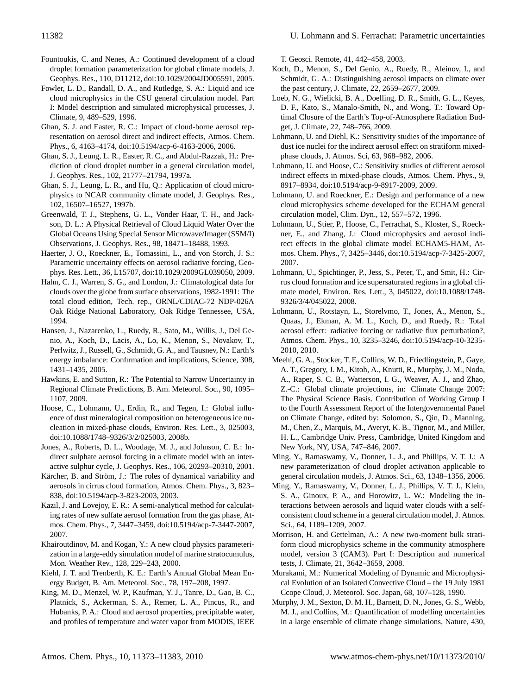- <span id="page-10-3"></span>Fountoukis, C. and Nenes, A.: Continued development of a cloud droplet formation parameterization for global climate models, J. Geophys. Res., 110, D11212, doi:10.1029/2004JD005591, 2005.
- <span id="page-10-11"></span>Fowler, L. D., Randall, D. A., and Rutledge, S. A.: Liquid and ice cloud microphysics in the CSU general circulation model. Part I: Model description and simulated microphysical processes, J. Climate, 9, 489–529, 1996.
- <span id="page-10-5"></span>Ghan, S. J. and Easter, R. C.: Impact of cloud-borne aerosol representation on aerosol direct and indirect effects, Atmos. Chem. Phys., 6, 4163–4174, doi:10.5194/acp-6-4163-2006, 2006.
- <span id="page-10-7"></span>Ghan, S. J., Leung, L. R., Easter, R. C., and Abdul-Razzak, H.: Prediction of cloud droplet number in a general circulation model, J. Geophys. Res., 102, 21777–21794, 1997a.
- <span id="page-10-8"></span>Ghan, S. J., Leung, L. R., and Hu, Q.: Application of cloud microphysics to NCAR community climate model, J. Geophys. Res., 102, 16507–16527, 1997b.
- <span id="page-10-24"></span>Greenwald, T. J., Stephens, G. L., Vonder Haar, T. H., and Jackson, D. L.: A Physical Retrieval of Cloud Liquid Water Over the Global Oceans Using Special Sensor Microwave/Imager (SSM/I) Observations, J. Geophys. Res., 98, 18471–18488, 1993.
- <span id="page-10-16"></span>Haerter, J. O., Roeckner, E., Tomassini, L., and von Storch, J. S.: Parametric uncertainty effects on aerosol radiative forcing, Geophys. Res. Lett., 36, L15707, doi:10.1029/2009GL039050, 2009.
- <span id="page-10-25"></span>Hahn, C. J., Warren, S. G., and London, J.: Climatological data for clouds over the globe from surface observations, 1982-1991: The total cloud edition, Tech. rep., ORNL/CDIAC-72 NDP-026A Oak Ridge National Laboratory, Oak Ridge Tennessee, USA, 1994.
- <span id="page-10-12"></span>Hansen, J., Nazarenko, L., Ruedy, R., Sato, M., Willis, J., Del Genio, A., Koch, D., Lacis, A., Lo, K., Menon, S., Novakov, T., Perlwitz, J., Russell, G., Schmidt, G. A., and Tausnev, N.: Earth's energy imbalance: Confirmation and implications, Science, 308, 1431–1435, 2005.
- <span id="page-10-0"></span>Hawkins, E. and Sutton, R.: The Potential to Narrow Uncertainty in Regional Climate Predictions, B. Am. Meteorol. Soc., 90, 1095– 1107, 2009.
- <span id="page-10-22"></span>Hoose, C., Lohmann, U., Erdin, R., and Tegen, I.: Global influence of dust mineralogical composition on heterogeneous ice nucleation in mixed-phase clouds, Environ. Res. Lett., 3, 025003, doi:10.1088/1748–9326/3/2/025003, 2008b.
- <span id="page-10-2"></span>Jones, A., Roberts, D. L., Woodage, M. J., and Johnson, C. E.: Indirect sulphate aerosol forcing in a climate model with an interactive sulphur cycle, J. Geophys. Res., 106, 20293–20310, 2001.
- <span id="page-10-21"></span>Kärcher, B. and Ström, J.: The roles of dynamical variability and aerosols in cirrus cloud formation, Atmos. Chem. Phys., 3, 823– 838, doi:10.5194/acp-3-823-2003, 2003.
- <span id="page-10-18"></span>Kazil, J. and Lovejoy, E. R.: A semi-analytical method for calculating rates of new sulfate aerosol formation from the gas phase, Atmos. Chem. Phys., 7, 3447–3459, doi:10.5194/acp-7-3447-2007, 2007.
- <span id="page-10-27"></span>Khairoutdinov, M. and Kogan, Y.: A new cloud physics parameterization in a large-eddy simulation model of marine stratocumulus, Mon. Weather Rev., 128, 229–243, 2000.
- <span id="page-10-29"></span>Kiehl, J. T. and Trenberth, K. E.: Earth's Annual Global Mean Energy Budget, B. Am. Meteorol. Soc., 78, 197–208, 1997.
- <span id="page-10-26"></span>King, M. D., Menzel, W. P., Kaufman, Y. J., Tanre, D., Gao, B. C., Platnick, S., Ackerman, S. A., Remer, L. A., Pincus, R., and Hubanks, P. A.: Cloud and aerosol properties, precipitable water, and profiles of temperature and water vapor from MODIS, IEEE

T. Geosci. Remote, 41, 442–458, 2003.

- <span id="page-10-1"></span>Koch, D., Menon, S., Del Genio, A., Ruedy, R., Aleinov, I., and Schmidt, G. A.: Distinguishing aerosol impacts on climate over the past century, J. Climate, 22, 2659–2677, 2009.
- <span id="page-10-30"></span>Loeb, N. G., Wielicki, B. A., Doelling, D. R., Smith, G. L., Keyes, D. F., Kato, S., Manalo-Smith, N., and Wong, T.: Toward Optimal Closure of the Earth's Top-of-Atmosphere Radiation Budget, J. Climate, 22, 748–766, 2009.
- <span id="page-10-23"></span>Lohmann, U. and Diehl, K.: Sensitivity studies of the importance of dust ice nuclei for the indirect aerosol effect on stratiform mixedphase clouds, J. Atmos. Sci, 63, 968–982, 2006.
- <span id="page-10-17"></span>Lohmann, U. and Hoose, C.: Sensitivity studies of different aerosol indirect effects in mixed-phase clouds, Atmos. Chem. Phys., 9, 8917–8934, doi:10.5194/acp-9-8917-2009, 2009.
- <span id="page-10-19"></span>Lohmann, U. and Roeckner, E.: Design and performance of a new cloud microphysics scheme developed for the ECHAM general circulation model, Clim. Dyn., 12, 557–572, 1996.
- <span id="page-10-9"></span>Lohmann, U., Stier, P., Hoose, C., Ferrachat, S., Kloster, S., Roeckner, E., and Zhang, J.: Cloud microphysics and aerosol indirect effects in the global climate model ECHAM5-HAM, Atmos. Chem. Phys., 7, 3425–3446, doi:10.5194/acp-7-3425-2007, 2007.
- <span id="page-10-20"></span>Lohmann, U., Spichtinger, P., Jess, S., Peter, T., and Smit, H.: Cirrus cloud formation and ice supersaturated regions in a global climate model, Environ. Res. Lett., 3, 045022, doi:10.1088/1748- 9326/3/4/045022, 2008.
- <span id="page-10-14"></span>Lohmann, U., Rotstayn, L., Storelvmo, T., Jones, A., Menon, S., Quaas, J., Ekman, A. M. L., Koch, D., and Ruedy, R.: Total aerosol effect: radiative forcing or radiative flux perturbation?, Atmos. Chem. Phys., 10, 3235–3246, doi:10.5194/acp-10-3235- 2010, 2010.
- <span id="page-10-13"></span>Meehl, G. A., Stocker, T. F., Collins, W. D., Friedlingstein, P., Gaye, A. T., Gregory, J. M., Kitoh, A., Knutti, R., Murphy, J. M., Noda, A., Raper, S. C. B., Watterson, I. G., Weaver, A. J., and Zhao, Z.-C.: Global climate projections, in: Climate Change 2007: The Physical Science Basis. Contribution of Working Group I to the Fourth Assessment Report of the Intergovernmental Panel on Climate Change, edited by: Solomon, S., Qin, D., Manning, M., Chen, Z., Marquis, M., Averyt, K. B., Tignor, M., and Miller, H. L., Cambridge Univ. Press, Cambridge, United Kingdom and New York, NY, USA, 747–846, 2007.
- <span id="page-10-4"></span>Ming, Y., Ramaswamy, V., Donner, L. J., and Phillips, V. T. J.: A new parameterization of cloud droplet activation applicable to general circulation models, J. Atmos. Sci., 63, 1348–1356, 2006.
- <span id="page-10-6"></span>Ming, Y., Ramaswamy, V., Donner, L. J., Phillips, V. T. J., Klein, S. A., Ginoux, P. A., and Horowitz, L. W.: Modeling the interactions between aerosols and liquid water clouds with a selfconsistent cloud scheme in a general circulation model, J. Atmos. Sci., 64, 1189–1209, 2007.
- <span id="page-10-10"></span>Morrison, H. and Gettelman, A.: A new two-moment bulk stratiform cloud microphysics scheme in the community atmosphere model, version 3 (CAM3). Part I: Description and numerical tests, J. Climate, 21, 3642–3659, 2008.
- <span id="page-10-28"></span>Murakami, M.: Numerical Modeling of Dynamic and Microphysical Evolution of an Isolated Convective Cloud – the 19 July 1981 Ccope Cloud, J. Meteorol. Soc. Japan, 68, 107–128, 1990.
- <span id="page-10-15"></span>Murphy, J. M., Sexton, D. M. H., Barnett, D. N., Jones, G. S., Webb, M. J., and Collins, M.: Quantification of modelling uncertainties in a large ensemble of climate change simulations, Nature, 430,